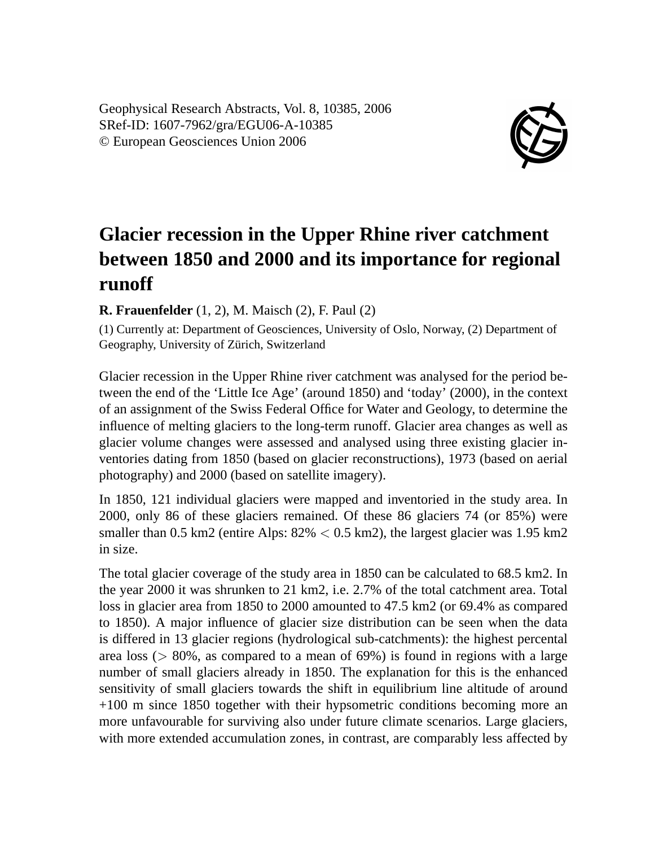Geophysical Research Abstracts, Vol. 8, 10385, 2006 SRef-ID: 1607-7962/gra/EGU06-A-10385 © European Geosciences Union 2006



## **Glacier recession in the Upper Rhine river catchment between 1850 and 2000 and its importance for regional runoff**

**R. Frauenfelder** (1, 2), M. Maisch (2), F. Paul (2)

(1) Currently at: Department of Geosciences, University of Oslo, Norway, (2) Department of Geography, University of Zürich, Switzerland

Glacier recession in the Upper Rhine river catchment was analysed for the period between the end of the 'Little Ice Age' (around 1850) and 'today' (2000), in the context of an assignment of the Swiss Federal Office for Water and Geology, to determine the influence of melting glaciers to the long-term runoff. Glacier area changes as well as glacier volume changes were assessed and analysed using three existing glacier inventories dating from 1850 (based on glacier reconstructions), 1973 (based on aerial photography) and 2000 (based on satellite imagery).

In 1850, 121 individual glaciers were mapped and inventoried in the study area. In 2000, only 86 of these glaciers remained. Of these 86 glaciers 74 (or 85%) were smaller than 0.5 km2 (entire Alps:  $82\% < 0.5$  km2), the largest glacier was 1.95 km2 in size.

The total glacier coverage of the study area in 1850 can be calculated to 68.5 km2. In the year 2000 it was shrunken to 21 km2, i.e. 2.7% of the total catchment area. Total loss in glacier area from 1850 to 2000 amounted to 47.5 km2 (or 69.4% as compared to 1850). A major influence of glacier size distribution can be seen when the data is differed in 13 glacier regions (hydrological sub-catchments): the highest percental area loss ( $> 80\%$ , as compared to a mean of 69%) is found in regions with a large number of small glaciers already in 1850. The explanation for this is the enhanced sensitivity of small glaciers towards the shift in equilibrium line altitude of around +100 m since 1850 together with their hypsometric conditions becoming more an more unfavourable for surviving also under future climate scenarios. Large glaciers, with more extended accumulation zones, in contrast, are comparably less affected by